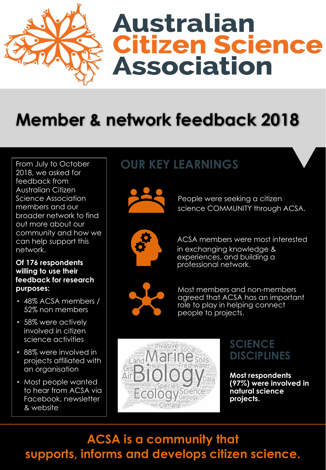

# **Australian Citizen Science Association**

## **Member & network feedback 2018**

From July to October 2018, we asked for feedback from Australian Citizen Science Association members and our broader network to find out more about our community and how we can help support this network.

#### **Of 176 respondents willing to use their feedback for research purposes:**

- 48% ACSA members / 52% non members
- 58% were actively involved in citizen science activities
- 88% were involved in projects affiliated with an organisation
- Most people wanted to hear from ACSA via Facebook, newsletter & website

## **OUR KEY LEARNINGS**



People were seeking a citizen science COMMUNITY through ACSA.



• ACSA members were most interested in exchanging knowledge & experiences, and building a professional network.



Most members and non-members agreed that ACSA has an important role to play in helping connect people to projects.



### **SCIENCE DISCIPLINES**

**Most respondents (97%) were involved in natural science projects.**

### **ACSA is a community that supports, informs and develops citizen science.**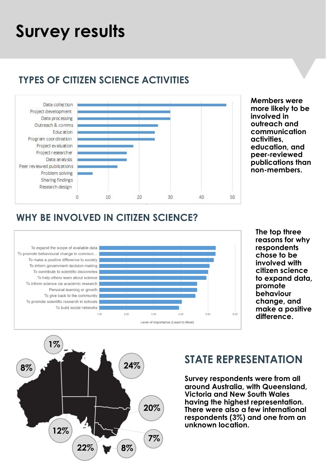## **Survey results**

#### **TYPES OF CITIZEN SCIENCE ACTIVITIES**



**Members were more likely to be involved in outreach and communication activities, education, and peer-reviewed publications than non-members.** 

#### **WHY BE INVOLVED IN CITIZEN SCIENCE?**



**The top three reasons for why respondents chose to be involved with citizen science to expand data, promote behaviour change, and make a positive difference.**

## **8% 22% 20% 7% 8% 24% 12% 1%**

#### **STATE REPRESENTATION**

**Survey respondents were from all around Australia, with Queensland, Victoria and New South Wales having the highest representation. There were also a few international respondents (3%) and one from an unknown location.**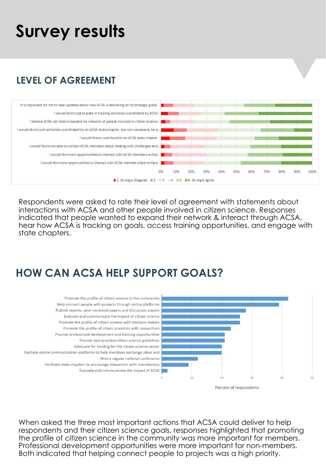## **Survey results**

#### **LEVEL OF AGREEMENT**



Respondents were asked to rate their level of agreement with statements about interactions with ACSA and other people involved in citizen science. Responses indicated that people wanted to expand their network & interact through ACSA, hear how ACSA is tracking on goals, access training opportunities, and engage with state chapters.

#### **HOW CAN ACSA HELP SUPPORT GOALS?**



When asked the three most important actions that ACSA could deliver to help respondents and their citizen science goals, responses highlighted that promoting the profile of citizen science in the community was more important for members. Professional development opportunities were more important for non-members. Both indicated that helping connect people to projects was a high priority.